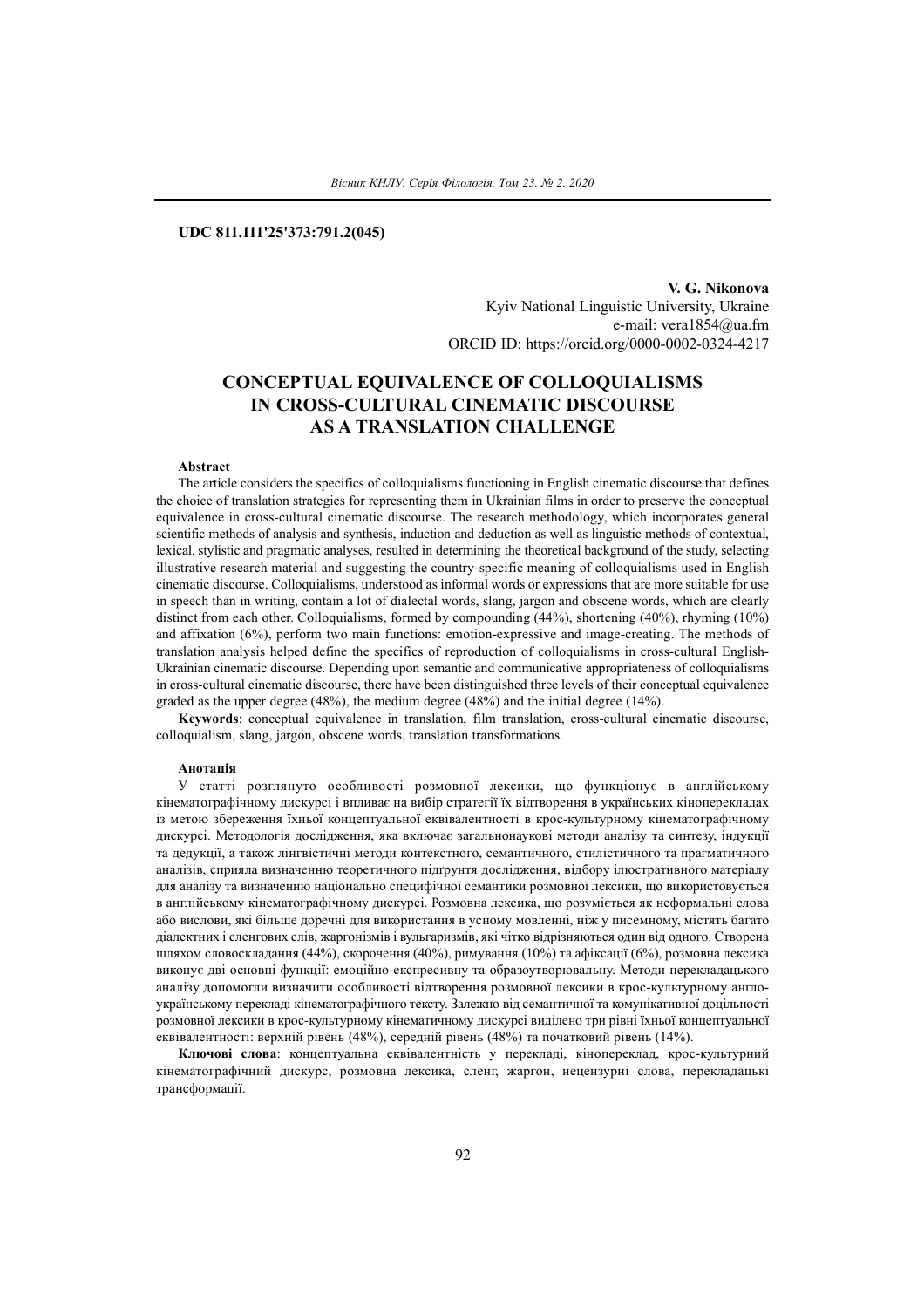## **UDC 811.111'25'373:791.2(045)**

**V. G. Nikonova** Kyiv National Linguistic University, Ukraine e-mail: vera1854@ua.fm ORCID ID: https://orcid.org/0000-0002-0324-4217

# **CONCEPTUAL EQUIVALENCE OF COLLOQUIALISMS IN CROSS-CULTURAL CINEMATIC DISCOURSE AS A TRANSLATION CHALLENGE**

#### **Abstract**

The article considers the specifics of colloquialisms functioning in English cinematic discourse that defines the choice of translation strategies for representing them in Ukrainian films in order to preserve the conceptual equivalence in cross-cultural cinematic discourse. The research methodology, which incorporates general scientific methods of analysis and synthesis, induction and deduction as well as linguistic methods of contextual, lexical, stylistic and pragmatic analyses, resulted in determining the theoretical background of the study, selecting illustrative research material and suggesting the country-specific meaning of colloquialisms used in English cinematic discourse. Colloquialisms, understood as informal words or expressions that are more suitable for use in speech than in writing, contain a lot of dialectal words, slang, jargon and obscene words, which are clearly distinct from each other. Colloquialisms, formed by compounding (44%), shortening (40%), rhyming (10%) and affixation (6%), perform two main functions: emotion-expressive and image-сreating. The methods of translation analysis helped define the specifics of reproduction of colloquialisms in cross-cultural English-Ukrainian cinematic discourse. Depending upon semantic and communicative appropriateness of colloquialisms in cross-cultural cinematic discourse, there have been distinguished three levels of their conceptual equivalence graded as the upper degree (48%), the medium degree (48%) and the initial degree (14%).

**Keywords**: conceptual equivalence in translation, film translation, cross-cultural cinematic discourse, colloquialism, slang, jargon, obscene words, translation transformations.

#### **Анотація**

У статті розглянуто особливості розмовної лексики, що функціонує в англійському кінематографічному дискурсі і впливає на вибір стратегії їх відтворення в українських кіноперекладах із метою збереження їхньої концептуальної еквівалентності в крос-культурному кінематографічному дискурсі. Методологія дослідження, яка включає загальнонаукові методи аналізу та синтезу, індукції та дедукції, а також лінгвістичні методи контекстного, семантичного, стилістичного та прагматичного аналізів, сприяла визначенню теоретичного підґрунтя дослідження, відбору ілюстративного матеріалу для аналізу та визначенню національно специфічної семантики розмовної лексики, що використовується в англійському кінематографічному дискурсі. Розмовна лексика, що розуміється як неформальні слова або вислови, які більше доречні для використання в усному мовленні, ніж у писемному, містять багато діалектних і сленгових слів, жаргонізмів і вульгаризмів, які чітко відрізняються один від одного. Створена шляхом словоскладання (44%), скорочення (40%), римування (10%) та афіксації (6%), розмовна лексика виконує дві основні функції: емоційно-експресивну та образоутворювальну. Методи перекладацького аналізу допомогли визначити особливості відтворення розмовної лексики в крос-культурному англоукраїнському перекладі кінематографічного тексту. Залежно від семантичної та комунікативної доцільності розмовної лексики в крос-культурному кінематичному дискурсі виділено три рівні їхньої концептуальної еквівалентності: верхній рівень (48%), середній рівень (48%) та початковий рівень (14%).

**Ключові слова**: концептуальна еквівалентність у перекладі, кінопереклад, крос-культурний кінематографічний дискурс, розмовна лексика, сленг, жаргон, нецензурні слова, перекладацькі трансформації.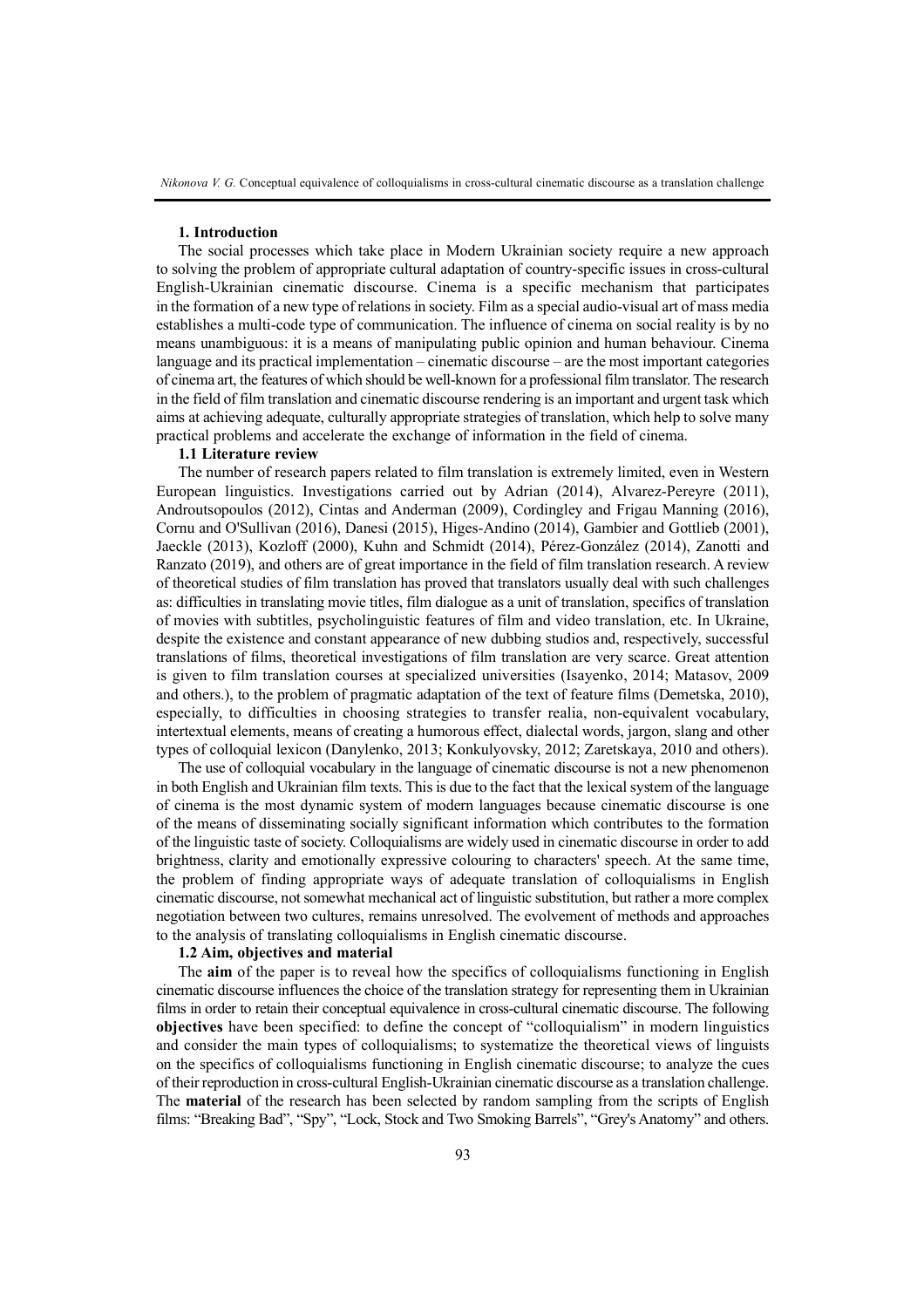*Nikonova V. G.* Conceptual equivalence of colloquialisms in cross-cultural cinematic discourse as a translation challenge

### **1. Introduction**

The social processes which take place in Modern Ukrainian society require a new approach to solving the problem of appropriate cultural adaptation of country-specific issues in cross-cultural English-Ukrainian cinematic discourse. Cinema is a specific mechanism that participates in the formation of a new type of relations in society. Film as a special audio-visual art of mass media establishes a multi-code type of communication. The influence of cinema on social reality is by no means unambiguous: it is a means of manipulating public opinion and human behaviour. Cinema language and its practical implementation – cinematic discourse – are the most important categories of cinema art, the features of which should be well-known for a professional filmtranslator. The research in the field of film translation and cinematic discourse rendering is an important and urgent task which aims at achieving adequate, culturally appropriate strategies of translation, which help to solve many practical problems and accelerate the exchange of information in the field of cinema.

### **1.1 Literature review**

The number of research papers related to film translation is extremely limited, even in Western European linguistics. Investigations carried out by Adrian (2014), Alvarez-Pereyre (2011), Androutsopoulos (2012), Cintas and Anderman (2009), Cordingley and Frigau Manning (2016), Cornu and O'Sullivan (2016), Danesi (2015), Higes-Andino (2014), Gambier and Gottlieb (2001), Jaeckle (2013), Kozloff (2000), Kuhn and Schmidt (2014), Pérez-González (2014), Zanotti and Ranzato (2019), and others are of great importance in the field of film translation research. A review of theoretical studies of film translation has proved that translators usually deal with such challenges as: difficulties in translating movie titles, film dialogue as a unit of translation, specifics of translation of movies with subtitles, psycholinguistic features of film and video translation, etc. In Ukraine, despite the existence and constant appearance of new dubbing studios and, respectively, successful translations of films, theoretical investigations of film translation are very scarce. Great attention is given to film translation courses at specialized universities (Isayenko, 2014; Matasov, 2009 and others.), to the problem of pragmatic adaptation of the text of feature films (Demetska, 2010), especially, to difficulties in choosing strategies to transfer realia, non-equivalent vocabulary, intertextual elements, means of creating a humorous effect, dialectal words, jargon, slang and other types of colloquial lexicon (Danylenko, 2013; Konkulyovsky, 2012; Zaretskaya, 2010 and others).

The use of colloquial vocabulary in the language of cinematic discourse is not a new phenomenon in both English and Ukrainian film texts. This is due to the fact that the lexical system of the language of cinema is the most dynamic system of modern languages because cinematic discourse is one of the means of disseminating socially significant information which contributes to the formation of the linguistic taste of society. Colloquialisms are widely used in cinematic discourse in order to add brightness, clarity and emotionally expressive colouring to characters' speech. At the same time, the problem of finding appropriate ways of adequate translation of colloquialisms in English cinematic discourse, not somewhat mechanical act of linguistic substitution, but rather a more complex negotiation between two cultures, remains unresolved. The evolvement of methods and approaches to the analysis of translating colloquialisms in English cinematic discourse.

### **1.2 Aim, objectives and material**

The **aim** of the paper is to reveal how the specifics of colloquialisms functioning in English cinematic discourse influences the choice of the translation strategy for representing them in Ukrainian films in order to retain their conceptual equivalence in cross-cultural cinematic discourse. The following **objectives** have been specified: to define the concept of "colloquialism" in modern linguistics and consider the main types of colloquialisms; to systematize the theoretical views of linguists on the specifics of colloquialisms functioning in English cinematic discourse; to analyze the cues of their reproduction in cross-cultural English-Ukrainian cinematic discourse as a translation challenge. The **material** of the research has been selected by random sampling from the scripts of English films: "Breaking Bad", "Spy", "Lock, Stock and Two Smoking Barrels", "Grey's Anatomy" and others.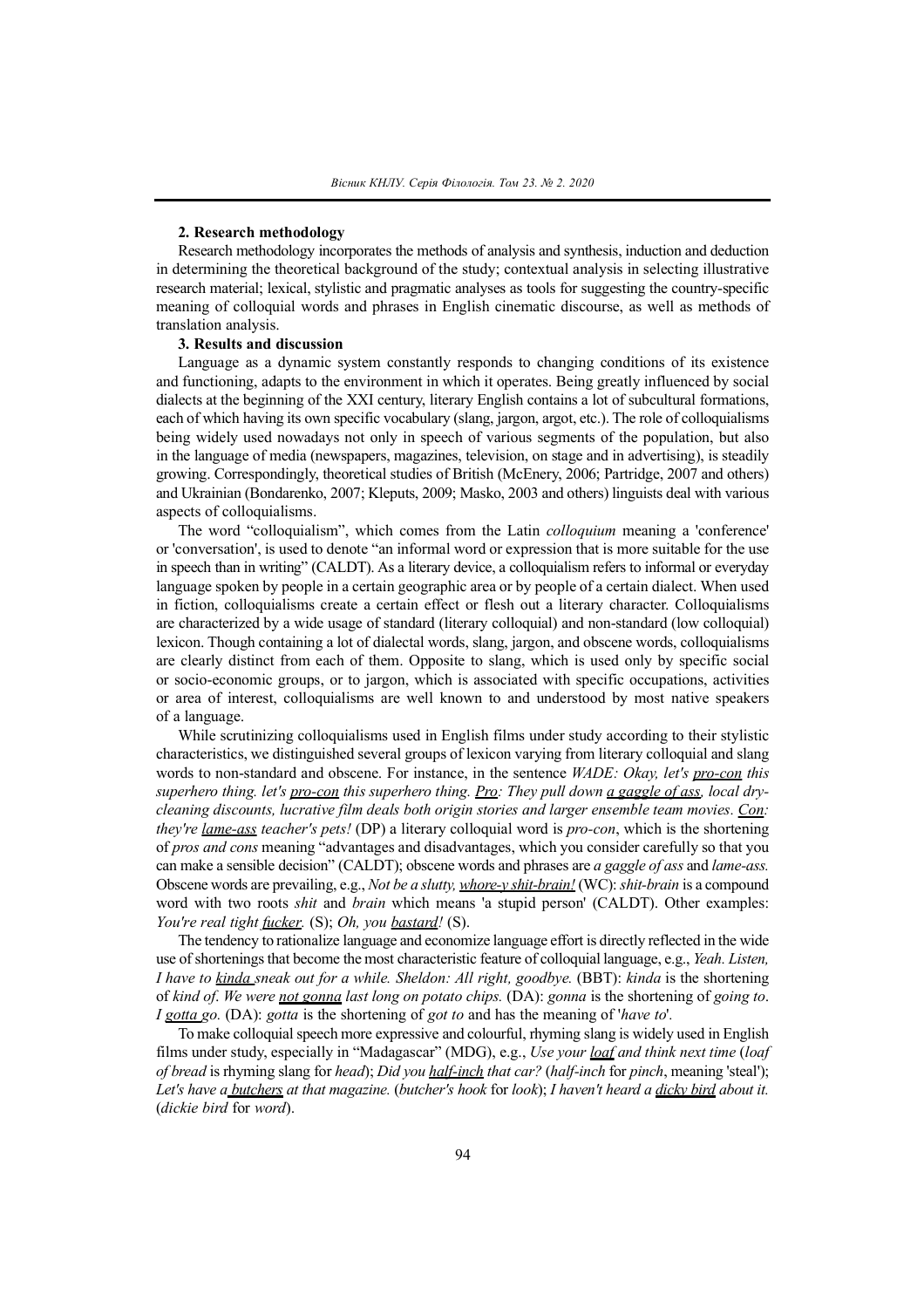## **2. Research methodology**

Research methodology incorporates the methods of analysis and synthesis, induction and deduction in determining the theoretical background of the study; contextual analysis in selecting illustrative research material; lexical, stylistic and pragmatic analyses as tools for suggesting the country-specific meaning of colloquial words and phrases in English cinematic discourse, as well as methods of translation analysis.

### **3. Results and discussion**

Language as a dynamic system constantly responds to changing conditions of its existence and functioning, adapts to the environment in which it operates. Being greatly influenced by social dialects at the beginning of the XXI century, literary English contains a lot of subcultural formations, each of which having its own specific vocabulary (slang, jargon, argot, etc.). The role of colloquialisms being widely used nowadays not only in speech of various segments of the population, but also in the language of media (newspapers, magazines, television, on stage and in advertising), is steadily growing. Correspondingly, theoretical studies of British (McЕnеry, 2006; Partridge, 2007 and others) and Ukrainian (Bondarenko, 2007; Kleputs, 2009; Masko, 2003 and others) linguists deal with various aspects of colloquialisms.

The word "colloquialism", which comes from the Latin *colloquium* meaning a 'conference' or 'conversation', is used to denote "an informal word or expression that is more suitable for the use in speech than in writing" (CALDT). As a literary device, a colloquialism refers to informal or everyday language spoken by people in a certain geographic area or by people of a certain dialect. When used in fiction, colloquialisms create a certain effect or flesh out a literary character. Colloquialisms are characterized by a wide usage of standard (literary colloquial) and non-standard (low colloquial) lexicon. Though containing a lot of dialectal words, slang, jargon, and obscene words, colloquialisms are clearly distinct from each of them. Opposite to slang, which is used only by specific social or socio-economic groups, or to jargon, which is associated with specific occupations, activities or area of interest, colloquialisms are well known to and understood by most native speakers of a language.

While scrutinizing colloquialisms used in English films under study according to their stylistic characteristics, we distinguished several groups of lexicon varying from literary colloquial and slang words to non-standard and obscene. For instance, in the sentence *WADE: Okay, let's pro-con this superhero thing. let's pro-con this superhero thing. Pro: They pull down a gaggle of ass, local drycleaning discounts, lucrative film deals both origin stories and larger ensemble team movies. Con: they're lame-ass teacher's pets!* (DP) a literary colloquial word is *pro-con*, which is the shortening of *pros and cons* meaning "advantages and disadvantages, which you consider carefully so that you can make a sensible decision" (CALDT); obscene words and phrases are *a gaggle of ass* and *lame-ass.* Obscene words are prevailing, e.g., *Not be a slutty, whore-y shit-brain!* (WC): *shit-brain* is a compound word with two roots *shit* and *brain* which means 'a stupid person' (CALDT). Other examples: *Yоu'rе rеal tіght fuckеr.* (S); *Оh, yоu bastard!* (S).

The tendency to rationalize language and economize language effort is directly reflected in the wide use ofshorteningsthat become the most characteristic feature of colloquial language, e.g., *Yeah. Listen, I have to kinda sneak out for a while. Sheldon: All right, goodbye.* (BBT): *kinda* is the shortening of *kind of*. *We were not gonna last long on potato chips.* (DA): *gonna* is the shortening of *going to*. *I gotta go.* (DA): *gotta* is the shortening of *got to* and has the meaning of '*have to*'*.*

To make colloquial speech more expressive and colourful, rhyming slang is widely used in English films under study, especially in "Madagascar" (MDG), e.g., *Use your loaf and think next time* (*loaf of bread* is rhyming slang for *head*); *Did you half-inch that car?* (*half-inch* for *pinch*, meaning 'steal'); Let's have a butchers at that magazine. (butcher's hook for look); I haven't heard a dicky bird about it. (*dickie bird* for *word*).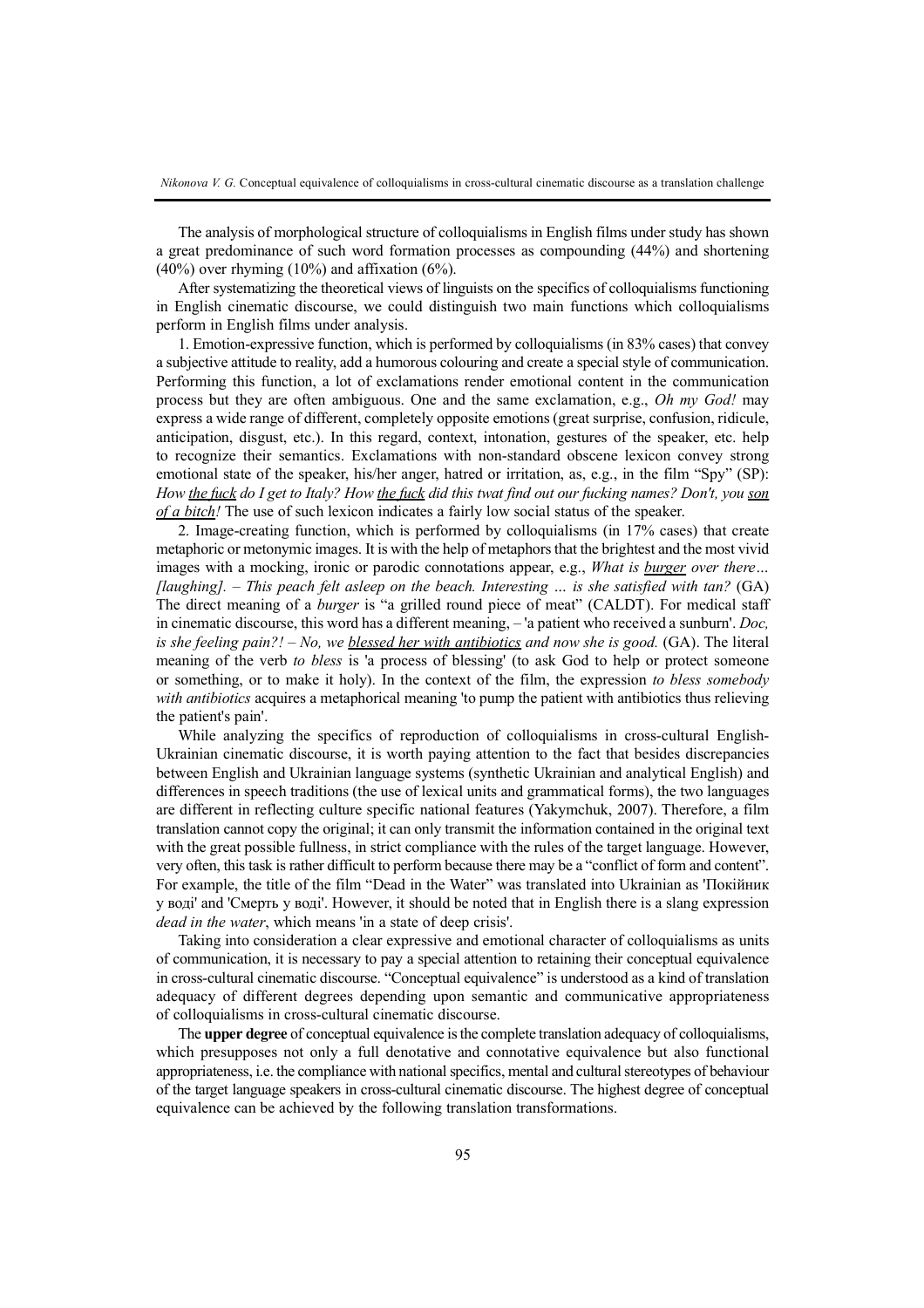The analysis of morphological structure of colloquialisms in English films under study has shown a great predominance of such word formation processes as compounding (44%) and shortening  $(40\%)$  over rhyming  $(10\%)$  and affixation  $(6\%)$ .

After systematizing the theoretical views of linguists on the specifics of colloquialisms functioning in English cinematic discourse, we could distinguish two main functions which colloquialisms perform in English films under analysis.

1. Emotion-expressive function, which is performed by colloquialisms (in 83% cases) that convey a subjective attitude to reality, add a humorous colouring and create a special style of communication. Performing this function, a lot of exclamations render emotional content in the communication process but they are often ambiguous. One and the same exclamation, e.g., *Оh my Gоd!* may express a wide range of different, completely opposite emotions (great surprise, confusion, ridicule, anticipation, disgust, etc.). In this regard, context, intonation, gestures of the speaker, etc. help to recognize their semantics. Exclamations with non-standard obscene lexicon convey strong emotional state of the speaker, his/her anger, hatred or irritation, as, e.g., in the film "Spy" (SP): How the fuck do I get to Italy? How the fuck did this twat find out our fucking names? Don't, you son *оf a bіtch!* The use of such lexicon indicates a fairly low social status of the speaker.

2. Image-creating function, which is performed by colloquialisms (in 17% cases) that create metaphoric or metonymic images. It is with the help of metaphorsthat the brightest and the most vivid images with a mocking, ironic or parodic connotations appear, e.g., *What is burger over there… [laughing]. – This peach felt asleep on the beach. Interesting … is she satisfied with tan?* (GA) The direct meaning of a *burger* is "a grilled round piece of meat" (CALDT). For medical staff in cinematic discourse, this word has a different meaning, *–* 'a patient who received a sunburn'. *Doc, is she feeling pain?! – No, we blessed her with antibiotics and now she is good.* (GA). The literal meaning of the verb *to bless* is 'a process of blessing' (to ask God to help or protect someone or something, or to make it holy). In the context of the film, the expression *to bless somebody with antibiotics* acquires a metaphorical meaning 'to pump the patient with antibiotics thus relieving the patient's pain'.

While analyzing the specifics of reproduction of colloquialisms in cross-cultural English-Ukrainian cinematic discourse, it is worth paying attention to the fact that besides discrepancies between English and Ukrainian language systems (synthetic Ukrainian and analytical English) and differences in speech traditions (the use of lexical units and grammatical forms), the two languages are different in reflecting culture specific national features (Yakymchuk, 2007). Therefore, a film translation cannot copy the original; it can only transmit the information contained in the original text with the great possible fullness, in strict compliance with the rules of the target language. However, very often, this task is rather difficult to perform because there may be a "conflict of form and content". For example, the title of the film "Dead in the Water" was translated into Ukrainian as 'Покійник у воді' and 'Смерть у воді'. However, it should be noted that in English there is a slang expression *dead in the water*, which means 'in a state of deep crisis'.

Taking into consideration a clear expressive and emotional character of colloquialisms as units of communication, it is necessary to pay a special attention to retaining their conceptual equivalence in cross-cultural cinematic discourse. "Conceptual equivalence" is understood as a kind of translation adequacy of different degrees depending upon semantic and communicative appropriateness of colloquialisms in cross-cultural cinematic discourse.

The **upper degree** of conceptual equivalence isthe complete translation adequacy of colloquialisms, which presupposes not only a full denotative and connotative equivalence but also functional appropriateness, i.e. the compliance with national specifics, mental and cultural stereotypes of behaviour of the target language speakers in cross-cultural cinematic discourse. The highest degree of conceptual equivalence can be achieved by the following translation transformations.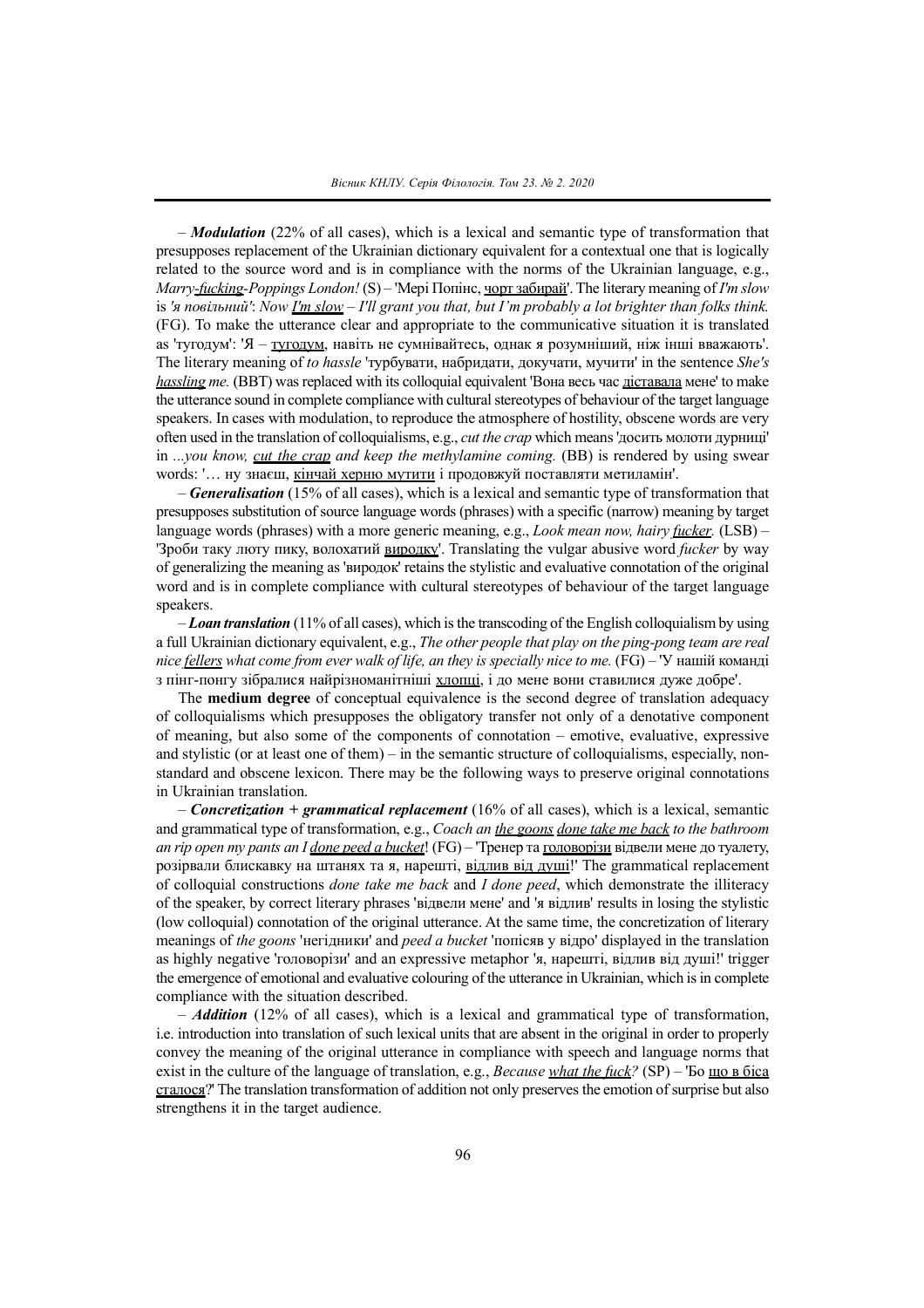– *Modulation* (22% of all cases), which is a lexical and semantic type of transformation that presupposes replacement of the Ukrainian dictionary equivalent for a contextual one that is logically related to the source word and is in compliance with the norms of the Ukrainian language, e.g., *Marry-fuckіng-Pоppіngs Lоndоn!* (S) *–* 'Мері Попінс, чорт забирай'. The literary meaning of *I'm slow* is 'я повільний': Now <u>I'm slow</u> - I'll grant you that, but I'm probably a lot brighter than folks think. (FG). To make the utterance clear and appropriate to the communicative situation it is translated as 'тугодум': 'Я – тугодум, навіть не сумнівайтесь, однак я розумніший, ніж інші вважають'. The literary meaning of *to hassle* 'турбувати, набридати, докучати, мучити' in the sentence *She's hassling me.* (BBT) was replaced with its colloquial equivalent 'Вона весь час діставала мене' to make the utterance sound in complete compliance with cultural stereotypes of behaviour of the target language speakers. In cases with modulation, to reproduce the atmosphere of hostility, obscene words are very often used in the translation of colloquialisms, e.g., *cut the crap* which means'досить молоти дурниці' in *...you know, cut the crap and keep the methylamine coming.* (BB) is rendered by using swear words: '… ну знаєш, кінчай херню мутити і продовжуй поставляти метиламін'.

– *Generalisation* (15% of all cases), which is a lexical and semantic type of transformation that presupposes substitution ofsource language words (phrases) with a specific (narrow) meaning by target language words (phrases) with a more generic meaning, e.g., *Lооk mеan nоw, haіry fuckеr.* (LSB) *–* 'Зроби таку люту пику, волохатий виродку'. Translating the vulgar abusive word *fuckеr* by way of generalizing the meaning as 'виродок' retains the stylistic and evaluative connotation of the original word and is in complete compliance with cultural stereotypes of behaviour of the target language speakers.

– *Loan translation* (11% of all cases), which isthe transcoding of the English colloquialismby using a full Ukrainian dictionary equivalent, e.g., *The other people that play on the ping-pong team are real nice fellers what come from ever walk of life, an they is specially nice to me.* (FG) – 'У нашій команді з пінг-понгу зібралися найрізноманітніші хлопці, і до мене вони ставилися дуже добре'.

The **medium degree** of conceptual equivalence is the second degree of translation adequacy of colloquialisms which presupposes the obligatory transfer not only of a denotative component of meaning, but also some of the components of connotation – emotive, evaluative, expressive and stylistic (or at least one of them) – in the semantic structure of colloquialisms, especially, nonstandard and obscene lexicon. There may be the following ways to preserve original connotations in Ukrainian translation.

– *Concretization + grammatical replacement* (16% of all cases), which is a lexical, semantic and grammatical type of transformation, e.g., *Coach an the goons done take me back to the bathroom an rip open my pants an I done peed a bucket*! (FG) – 'Тренер та головорізи відвели мене до туалету, розірвали блискавку на штанях та я, нарешті, відлив від душі!' The grammatical replacement of colloquial constructions *done take me back* and *I done peed*, which demonstrate the illiteracy of the speaker, by correct literary phrases 'відвели мене' and 'я відлив' results in losing the stylistic (low colloquial) connotation of the original utterance. At the same time, the concretization of literary meanings of *the goons* 'негідники' and *peed a bucket* 'попісяв у відро' displayed in the translation as highly negative 'головорізи' and an expressive metaphor 'я, нарешті, відлив від душі!' trigger the emergence of emotional and evaluative colouring of the utterance in Ukrainian, which isin complete compliance with the situation described.

*– Addition* (12% of all cases), which is a lexical and grammatical type of transformation, i.e. introduction into translation of such lexical units that are absent in the original in order to properly convey the meaning of the original utterance in compliance with speech and language norms that exist in the culture of the language of translation, e.g., *Bеcausе what thе fuck?* (SP) *–* 'Бо що в біса сталося?' The translation transformation of addition not only preserves the emotion ofsurprise but also strengthens it in the target audience.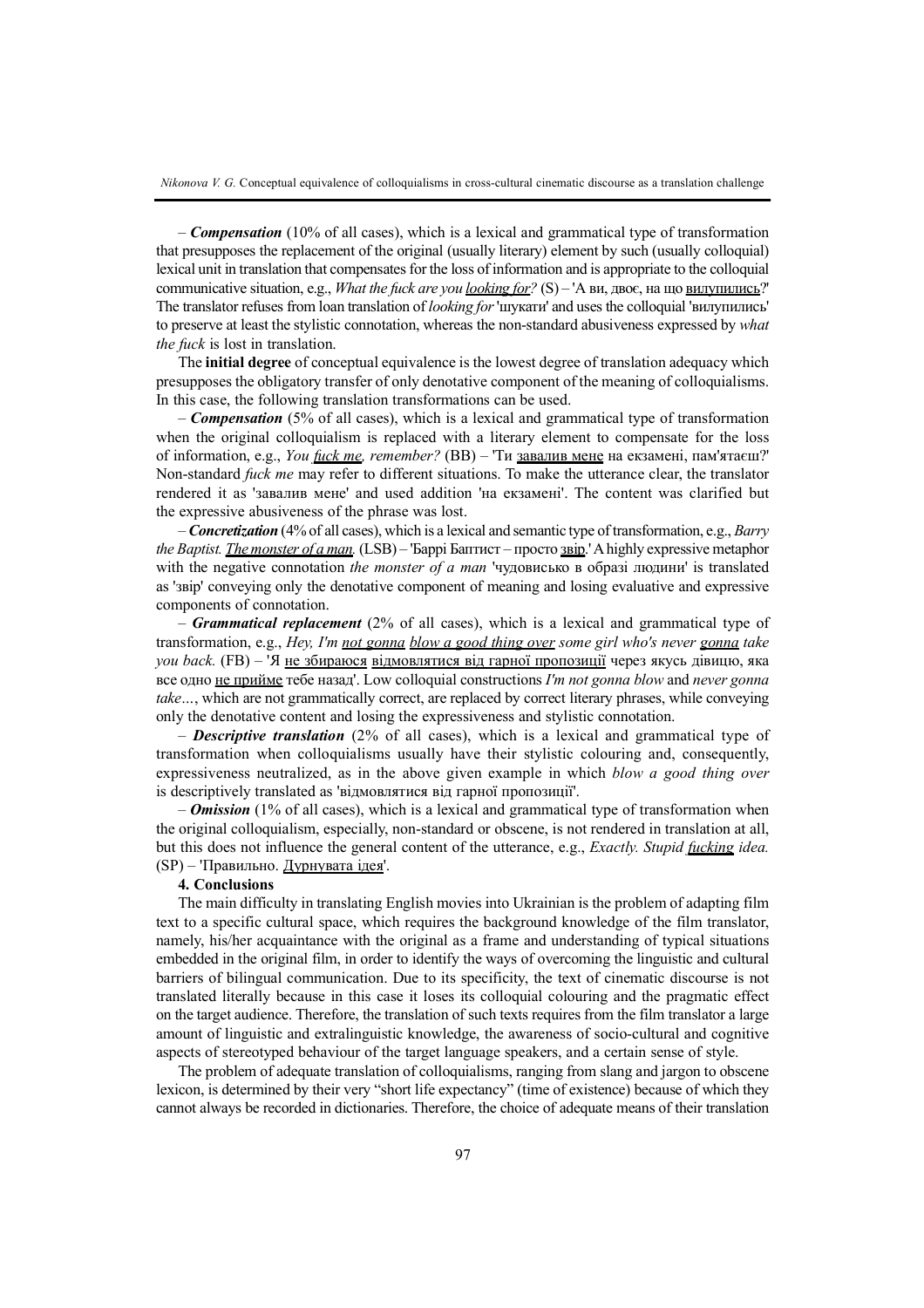*– Compensation* (10% of all cases), which is a lexical and grammatical type of transformation that presupposes the replacement of the original (usually literary) element by such (usually colloquial) lexical unit in translation that compensates for the loss of information and is appropriate to the colloquial communicative situation, e.g., *What thе fuck arе yоu lооkіng fоr?* (S) *–* 'А ви, двоє, на що вилупились?' The translator refuses from loan translation of *lооkіng fоr*'шукати' and uses the colloquial 'вилупились' to preserve at least the stylistic connotation, whereas the non-standard abusiveness expressed by *what thе fuck* is lost in translation.

The **initial degree** of conceptual equivalence is the lowest degree of translation adequacy which presupposes the obligatory transfer of only denotative component of the meaning of colloquialisms. In this case, the following translation transformations can be used.

*– Compensation* (5% of all cases), which is a lexical and grammatical type of transformation when the original colloquialism is replaced with a literary element to compensate for the loss of information, e.g., *Yоu fuck mе, rеmеmbеr?* (BB) *–* 'Ти завалив мене на екзамені, пам'ятаєш?' Non-standard *fuck mе* may refer to different situations. To make the utterance clear, the translator rendered it as 'завалив мене' and used addition 'на екзамені'. The content was clarified but the expressive abusiveness of the phrase was lost.

– *Concretization* (4% of all cases), which is a lexical and semantic type of transformation, e.g., *Barry thе Baptіst. Thе mоnstеr оf a man.* (LSB) *–* 'Баррі Баптист – просто звір.'Ahighly expressive metaphor with the negative connotation *the mоnstеr оf a man* 'чудовисько в образі людини' is translated as 'звір' conveying only the denotative component of meaning and losing evaluative and expressive components of connotation.

– *Grammatical replacement* (2% of all cases), which is a lexical and grammatical type of transformation, e.g., *Hey, I'm not gonna blow a good thing over some girl who's never gonna take you back.* (FB) *–* 'Я не збираюся відмовлятися від гарної пропозиції через якусь дівицю, яка все одно не прийме тебе назад'. Low colloquial constructions *I'm not gonna blow* and *never gonna take…*, which are not grammatically correct, are replaced by correct literary phrases, while conveying only the denotative content and losing the expressiveness and stylistic connotation.

– *Descriptive translation* (2% of all cases), which is a lexical and grammatical type of transformation when colloquialisms usually have their stylistic colouring and, consequently, expressiveness neutralized, as in the above given example in which *blow a good thing over* is descriptively translated as 'відмовлятися від гарної пропозиції'.

*– Omission* (1% of all cases), which is a lexical and grammatical type of transformation when the original colloquialism, especially, non-standard or obscene, is not rendered in translation at all, but this does not influence the general content of the utterance, e.g., *Еxactly. Stupіd fuckіng іdеa.* (SP) *–* 'Правильно. Дурнувата ідея'.

### **4. Conclusions**

The main difficulty in translating English movies into Ukrainian is the problem of adapting film text to a specific cultural space, which requires the background knowledge of the film translator, namely, his/her acquaintance with the original as a frame and understanding of typical situations embedded in the original film, in order to identify the ways of overcoming the linguistic and cultural barriers of bilingual communication. Due to its specificity, the text of cinematic discourse is not translated literally because in this case it loses its colloquial colouring and the pragmatic effect on the target audience. Therefore, the translation of such texts requires from the film translator a large amount of linguistic and extralinguistic knowledge, the awareness of socio-cultural and cognitive aspects of stereotyped behaviour of the target language speakers, and a certain sense of style.

The problem of adequate translation of colloquialisms, ranging from slang and jargon to obscene lexicon, is determined by their very "short life expectancy" (time of existence) because of which they cannot always be recorded in dictionaries. Therefore, the choice of adequate means of their translation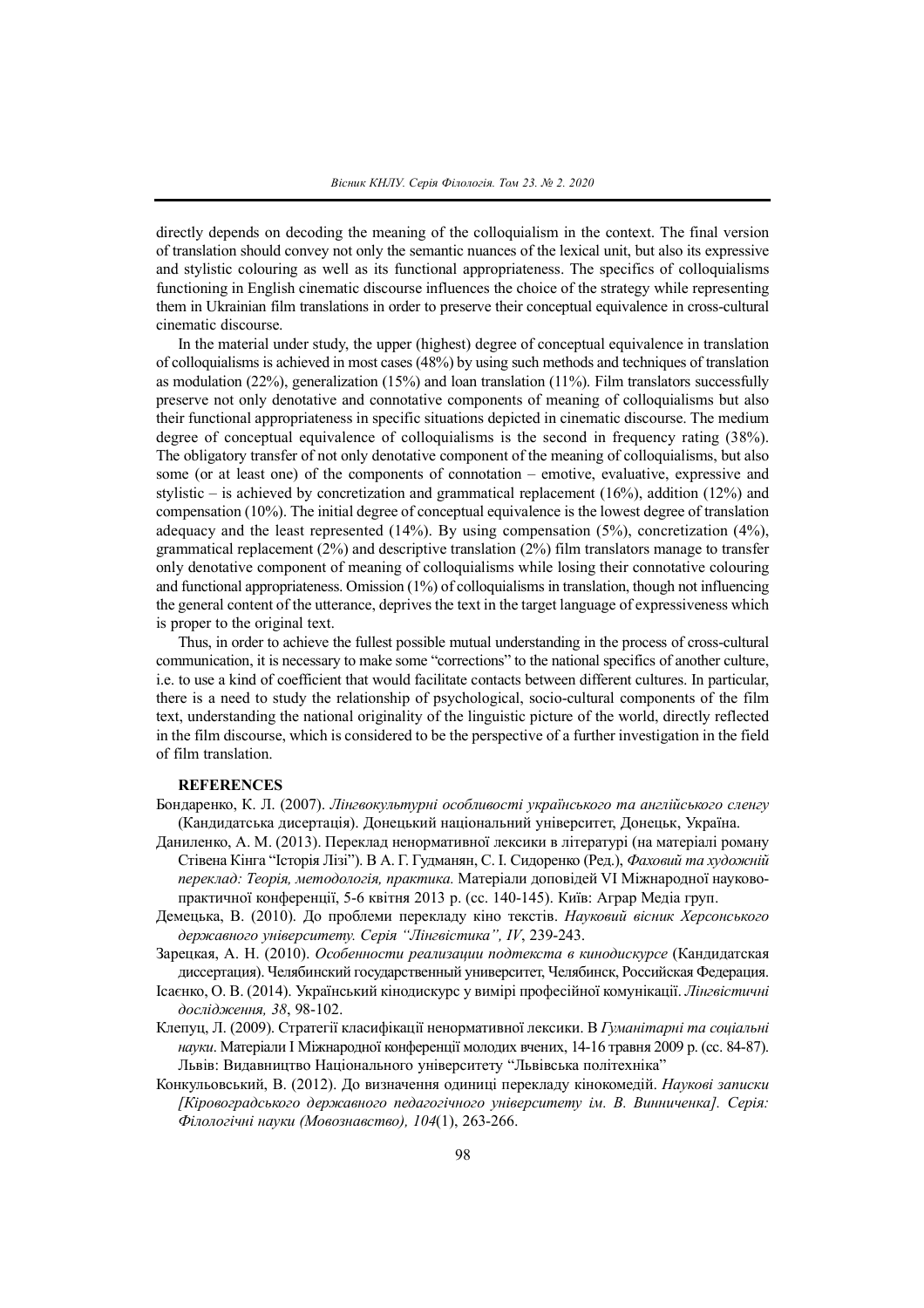directly depends on decoding the meaning of the colloquialism in the context. The final version of translation should convey not only the semantic nuances of the lexical unit, but also its expressive and stylistic colouring as well as its functional appropriateness. The specifics of colloquialisms functioning in English cinematic discourse influences the choice of the strategy while representing them in Ukrainian film translations in order to preserve their conceptual equivalence in cross-cultural cinematic discourse.

In the material under study, the upper (highest) degree of conceptual equivalence in translation of colloquialisms is achieved in most cases (48%) by using such methods and techniques of translation as modulation (22%), generalization (15%) and loan translation (11%). Film translators successfully preserve not only denotative and connotative components of meaning of colloquialisms but also their functional appropriateness in specific situations depicted in cinematic discourse. The medium degree of conceptual equivalence of colloquialisms is the second in frequency rating (38%). The obligatory transfer of not only denotative component of the meaning of colloquialisms, but also some (or at least one) of the components of connotation – emotive, evaluative, expressive and stylistic – is achieved by concretization and grammatical replacement  $(16%)$ , addition  $(12%)$  and compensation (10%). The initial degree of conceptual equivalence is the lowest degree of translation adequacy and the least represented  $(14%)$ . By using compensation  $(5%)$ , concretization  $(4%)$ , grammatical replacement (2%) and descriptive translation (2%) film translators manage to transfer only denotative component of meaning of colloquialisms while losing their connotative colouring and functional appropriateness. Omission (1%) of colloquialisms in translation, though not influencing the general content of the utterance, deprives the text in the target language of expressiveness which is proper to the original text.

Thus, in order to achieve the fullest possible mutual understanding in the process of cross-cultural communication, it is necessary to make some "corrections" to the national specifics of another culture, i.e. to use a kind of coefficient that would facilitate contacts between different cultures. In particular, there is a need to study the relationship of psychological, socio-cultural components of the film text, understanding the national originality of the linguistic picture of the world, directly reflected in the film discourse, which is considered to be the perspective of a further investigation in the field of film translation.

#### **REFERENCES**

- Бондаренко, К. Л. (2007). *Лінгвокультурні особливості українського та англійського сленгу* (Кандидатська дисертація). Донецький національний університет, Донецьк, Україна.
- Даниленко, А. М. (2013). Переклад ненормативної лексики в літературі (на матеріалі роману Стівена Кінга "Історія Лізі"). В А. Г. Гудманян, С. І. Сидоренко (Ред.), *Фаховий та художній переклад: Теорія, методологія, практика.* Матеріали доповідей VI Міжнародної науковопрактичної конференції, 5-6 квітня 2013 р. (cc. 140-145). Київ: Аграр Медіа груп.
- Демецька, В. (2010). До проблеми перекладу кіно текстів. *Науковий вісник Херсонського державного університету. Серія "Лінгвістика", IV*, 239-243.
- Зарецкая, А. Н. (2010). *Особенности реализации подтекста в кинодискурсе* (Кандидатская диссертация). Челябинский государственный университет, Челябинск, Российская Федерация.
- Ісаєнко, О. В. (2014). Український кінодискурс у вимірі професійної комунікації. *Лінгвістичні дослідження, 38*, 98-102.
- Клепуц, Л. (2009). Стратегії класифікації ненормативної лексики. В *Гуманітарні та соціальні науки*. Матеріали I Міжнародної конференції молодих вчених, 14-16 травня 2009 р. (cc. 84-87). Львів: Видавництво Національного університету "Львівська політехніка"
- Конкульовський, В. (2012). До визначення одиниці перекладу кінокомедій. *Наукові записки [Кіровоградського державного педагогічного університету ім. В. Винниченка]. Серія: Філологічні науки (Мовознавство), 104*(1), 263-266.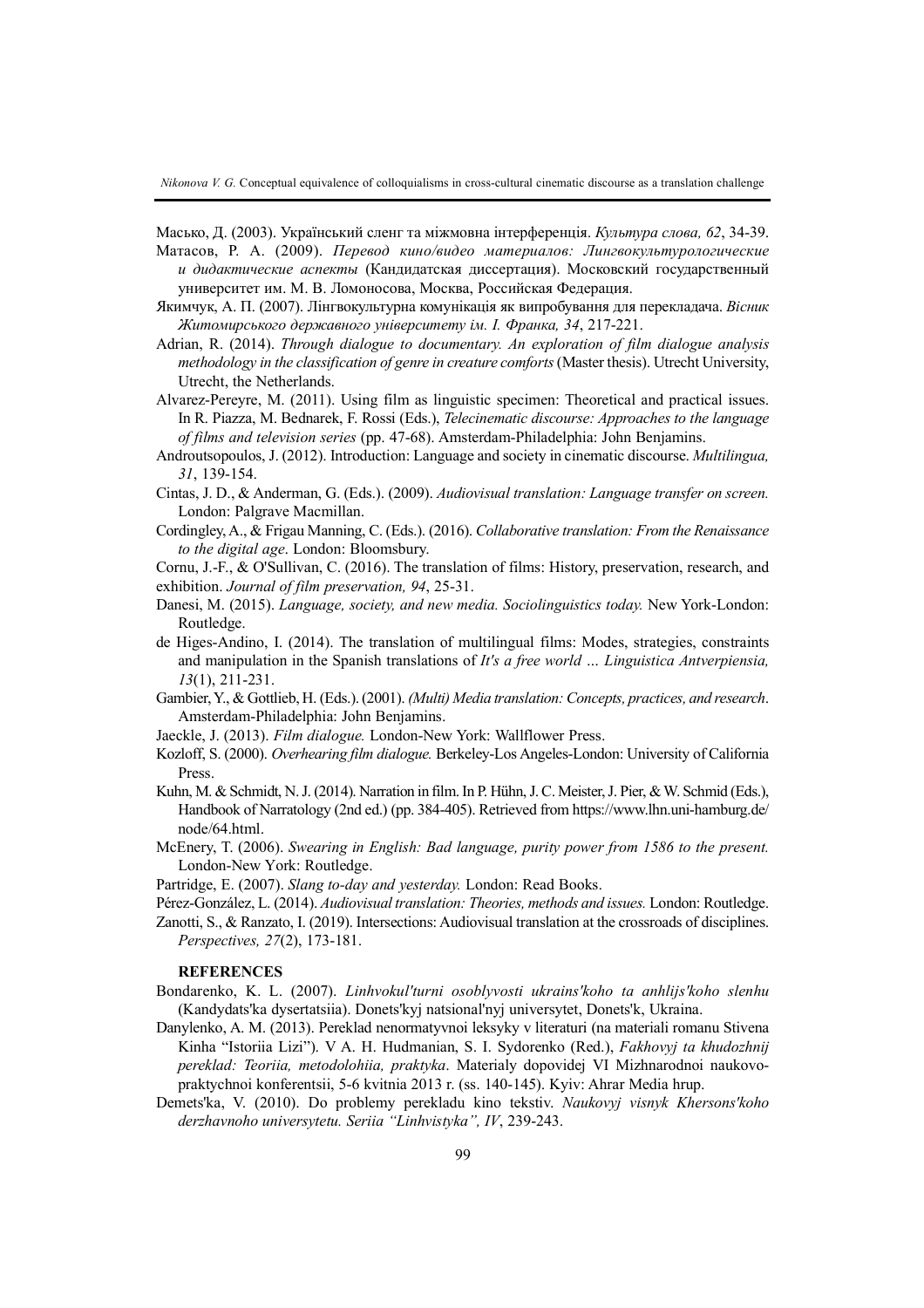*Nikonova V. G.* Conceptual equivalence of colloquialisms in cross-cultural cinematic discourse as a translation challenge

Масько, Д. (2003). Український сленг та міжмовна інтерференція. *Культура слова, 62*, 34-39.

- Матасов, Р. А. (2009). *Перевод кино/видео материалов: Лингвокультурологические и дидактические аспекты* (Кандидатская диссертация). Московский государственный университет им. М. В. Ломоносова, Москва, Российская Федерация.
- Якимчук, А. П. (2007). Лінгвокультурна комунікація як випробування для перекладача. *Вісник Житомирського державного університету ім. І. Франка, 34*, 217-221.
- Adrian, R. (2014). *Through dialogue to documentary. An exploration of film dialogue analysis methodology in the classification of genre in creature comforts*(Master thesis). Utrecht University, Utrecht, the Netherlands.
- Alvarez-Pereyre, M. (2011). Using film as linguistic specimen: Theoretical and practical issues. In R. Piazza, M. Bednarek, F. Rossi (Eds.), *Telecinematic discourse: Approaches to the language of films and television series* (pp. 47-68). Amsterdam-Philadelphia: John Benjamins.
- Androutsopoulos, J. (2012). Introduction: Language and society in cinematic discourse. *Multilingua, 31*, 139-154.
- Cintas, J. D., & Anderman, G. (Eds.). (2009). *Audiovisual translation: Language transfer on screen.* London: Palgrave Macmillan.
- Cordingley,A., & Frigau Manning, C. (Eds.). (2016). *Collaborative translation: From the Renaissance to the digital age*. London: Bloomsbury.

Cornu, J.-F., & O'Sullivan, C. (2016). The translation of films: History, preservation, research, and exhibition. *Journal of film preservation, 94*, 25-31.

- Danesi, M. (2015). *Language, society, and new media. Sociolinguistics today.* New York-London: Routledge.
- de Higes-Andino, I. (2014). The translation of multilingual films: Modes, strategies, constraints and manipulation in the Spanish translations of *It's a free world … Linguistica Antverpiensia, 13*(1), 211-231.
- Gambier,Y., & Gottlieb, H. (Eds.).(2001). *(Multi) Media translation: Concepts, practices, and research*. Amsterdam-Philadelphia: John Benjamins.
- Jaeckle, J. (2013). *Film dialogue.* London-New York: Wallflower Press.
- Kozloff, S. (2000). *Overhearing film dialogue.* Berkeley-Los Angeles-London: University of California Press.
- Kuhn, M. & Schmidt, N. J. (2014). Narration in film. In P. Hühn, J. C. Meister, J. Pier, & W. Schmid (Eds.), Handbook of Narratology (2nd ed.) (pp. 384-405). Retrieved from https://www.lhn.uni-hamburg.de/ node/64.html.
- McЕnеry, T. (2006). *Swеarіng іn Еnglіsh: Bad languagе, purіty pоwеr frоm 1586 tо thе prеsеnt.* Lоndоn-Nеw Yоrk: Rоutlеdgе.
- Partridge, E. (2007). *Slang to-day and yesterday.* London: Read Books.
- Pérez-González, L. (2014). *Audiovisual translation: Theories, methods and issues.* London: Routledge.
- Zanotti, S., & Ranzato, I. (2019). Intersections: Audiovisual translation at the crossroads of disciplines. *Perspectives, 27*(2), 173-181.

### **REFERENCES**

- Bondarenko, K. L. (2007). *Linhvokul'turni osoblyvosti ukrains'koho ta anhlijs'koho slenhu* (Kandydats'ka dysertatsiia). Donets'kyj natsional'nyj universytet, Donets'k, Ukraina.
- Danylenko, A. M. (2013). Pereklad nenormatyvnoi leksyky v literaturi (na materiali romanu Stivena Kinha "Istoriia Lizi"). V A. H. Hudmanian, S. I. Sydorenko (Red.), *Fakhovyj ta khudozhnij pereklad: Teoriia, metodolohiia, praktyka*. Materialy dopovidej VI Mizhnarodnoi naukovopraktychnoi konferentsii, 5-6 kvitnia 2013 r. (ss. 140-145). Kyiv: Ahrar Media hrup.
- Demets'ka, V. (2010). Do problemy perekladu kino tekstiv. *Naukovyj visnyk Khersons'koho derzhavnoho universytetu. Seriia "Linhvistyka", IV*, 239-243.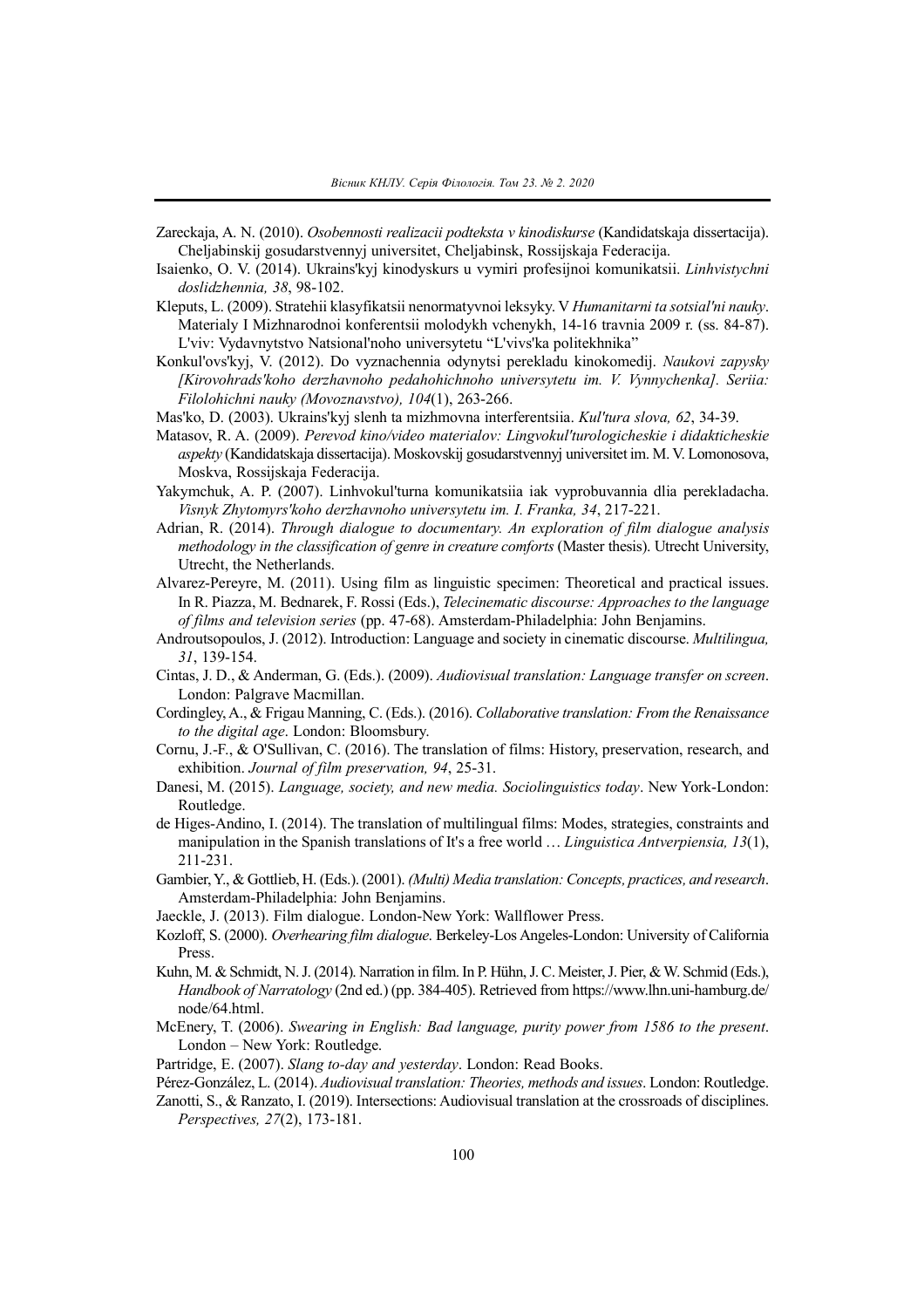- Zareckaja, A. N. (2010). *Osobennosti realizacii podteksta v kinodiskurse* (Kandidatskaja dissertacija). Cheljabinskij gosudarstvennyj universitet, Cheljabinsk, Rossijskaja Federacija.
- Isaienko, O. V. (2014). Ukrains'kyj kinodyskurs u vymiri profesijnoi komunikatsii. *Linhvistychni doslidzhennia, 38*, 98-102.
- Kleputs, L. (2009). Stratehii klasyfikatsii nenormatyvnoi leksyky. V *Humanitarni ta sotsial'ni nauky*. Materialy I Mizhnarodnoi konferentsii molodykh vchenykh, 14-16 travnia 2009 r. (ss. 84-87). L'viv: Vydavnytstvo Natsional'noho universytetu "L'vivs'ka politekhnika"
- Konkul'ovs'kyj, V. (2012). Do vyznachennia odynytsi perekladu kinokomedij. *Naukovi zapysky [Kirovohrads'koho derzhavnoho pedahohichnoho universytetu im. V. Vynnychenka]. Seriia: Filolohichni nauky (Movoznavstvo), 104*(1), 263-266.
- Mas'ko, D. (2003). Ukrains'kyj slenh ta mizhmovna interferentsiia. *Kul'tura slova, 62*, 34-39.
- Matasov, R. A. (2009). *Perevod kino/video materialov: Lingvokul'turologicheskie i didakticheskie aspekty* (Kandidatskaja dissertacija). Moskovskij gosudarstvennyj universitet im. M. V. Lomonosova, Moskva, Rossijskaja Federacija.
- Yakymchuk, A. P. (2007). Linhvokul'turna komunikatsiia iak vyprobuvannia dlia perekladacha. *Visnyk Zhytomyrs'koho derzhavnoho universytetu im. I. Franka, 34*, 217-221.
- Adrian, R. (2014). *Through dialogue to documentary. An exploration of film dialogue analysis methodology in the classification of genre in creature comforts* (Master thesis). Utrecht University, Utrecht, the Netherlands.
- Alvarez-Pereyre, M. (2011). Using film as linguistic specimen: Theoretical and practical issues. In R. Piazza, M. Bednarek, F. Rossi (Eds.), *Telecinematic discourse: Approaches to the language of films and television series* (pp. 47-68). Amsterdam-Philadelphia: John Benjamins.
- Androutsopoulos, J. (2012). Introduction: Language and society in cinematic discourse. *Multilingua, 31*, 139-154.
- Cintas, J. D., & Anderman, G. (Eds.). (2009). *Audiovisual translation: Language transfer on screen*. London: Palgrave Macmillan.
- Cordingley,A., & Frigau Manning, C. (Eds.). (2016). *Collaborative translation: From the Renaissance to the digital age*. London: Bloomsbury.
- Cornu, J.-F., & O'Sullivan, C. (2016). The translation of films: History, preservation, research, and exhibition. *Journal of film preservation, 94*, 25-31.
- Danesi, M. (2015). *Language, society, and new media. Sociolinguistics today*. New York-London: Routledge.
- de Higes-Andino, I. (2014). The translation of multilingual films: Modes, strategies, constraints and manipulation in the Spanish translations of It's a free world … *Linguistica Antverpiensia, 13*(1), 211-231.
- Gambier,Y., & Gottlieb, H. (Eds.).(2001). *(Multi) Media translation: Concepts, practices, and research*. Amsterdam-Philadelphia: John Benjamins.
- Jaeckle, J. (2013). Film dialogue. London-New York: Wallflower Press.
- Kozloff, S. (2000). *Overhearing film dialogue*. Berkeley-Los Angeles-London: University of California Press.
- Kuhn, M. & Schmidt, N. J. (2014). Narration in film. In P. Hühn, J. C. Meister, J. Pier, & W. Schmid (Eds.), *Handbook of Narratology* (2nd ed.) (pp. 384-405). Retrieved from https://www.lhn.uni-hamburg.de/ node/64.html.
- McEnery, T. (2006). *Swearing in English: Bad language, purity power from 1586 to the present*. London – New York: Routledge.
- Partridge, E. (2007). *Slang to-day and yesterday*. London: Read Books.
- Pérez-González, L. (2014). *Audiovisual translation: Theories, methods and issues*. London: Routledge.
- Zanotti, S., & Ranzato, I. (2019). Intersections: Audiovisual translation at the crossroads of disciplines. *Perspectives, 27*(2), 173-181.